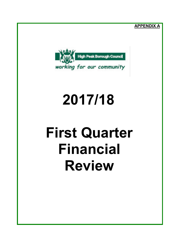**APPENDIX A**



# **2017/18**

# **First Quarter Financial Review**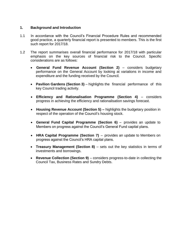## **1. Background and Introduction**

- 1.1 In accordance with the Council's Financial Procedure Rules and recommended good practice, a quarterly financial report is presented to members. This is the first such report for 2017/18.
- 1.2 The report summarises overall financial performance for 2017/18 with particular emphasis on the key sources of financial risk to the Council. Specific considerations are as follows:
	- **General Fund Revenue Account (Section 2)** considers budgetary performance on the General Account by looking at variations in income and expenditure and the funding received by the Council.
	- **Pavilion Gardens (Section 3)** highlights the financial performance of this key Council trading activity.
	- **Efficiency and Rationalisation Programme (Section 4)**  considers progress in achieving the efficiency and rationalisation savings forecast.
	- **Housing Revenue Account (Section 5) –** highlights the budgetary position in respect of the operation of the Council's housing stock.
	- **General Fund Capital Programme (Section 6)**  provides an update to Members on progress against the Council's General Fund capital plans.
	- **HRA Capital Programme (Section 7)** provides an update to Members on progress against the Council's HRA capital plans.
	- **Treasury Management (Section 8)** sets out the key statistics in terms of investments and borrowings.
	- **Revenue Collection (Section 9)** considers progress-to-date in collecting the Council Tax, Business Rates and Sundry Debts.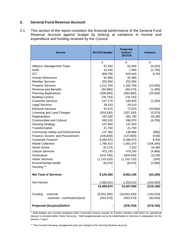### **2. General Fund Revenue Account**

2.1 This section of the report considers the financial performance of the General Fund Revenue Account against budget by looking at variations in income and expenditure and funding received by the Council.

| <b>Service</b>                          | 2017/18 Budget | Projected<br><b>Outturn</b><br>2017/18 | <b>Variance</b> |
|-----------------------------------------|----------------|----------------------------------------|-----------------|
|                                         | £              | £                                      | £               |
| Alliance Management Team                | 67,020         | 62,000                                 | (5,020)         |
| Audit                                   | 10,240         | 7,490                                  | (2,750)         |
| <b>ICT</b>                              | 609,790        | 619,540                                | 9,750           |
| <b>Human Resources</b>                  | 91,980         | 91,980                                 |                 |
| <b>Member Services</b>                  | 202,650        | 202,650                                |                 |
| <b>Property Services</b>                | 1,212,760      | 1,202,760                              | (10,000)        |
| <b>Revenue and Benefits</b>             | (92, 890)      | (94, 270)                              | (1,380)         |
| <b>Planning Applications</b>            | (336,900)      | (360, 900)                             | (24,000)        |
| <b>Building Control</b>                 | (76, 720)      | (76, 720)                              |                 |
| <b>Customer Services</b>                | 147,170        | 145,920                                | (1,250)         |
| <b>Legal Services</b>                   | 29,310         | 29,310                                 |                 |
| <b>Electoral Services</b>               | 97,670         | 77,670                                 | (20,000)        |
| Licensing and Land Charges              | (333,530)      | (337, 100)                             | (3,570)         |
| Regeneration                            | 197,530        | 262,790                                | 65,260          |
| <b>Communities and Cultural</b>         | 265,320        | 260,570                                | (4,750)         |
| <b>Housing Strategy</b>                 | 137,550        | 137,550                                |                 |
| Transformation                          | 21,750         | 21,750                                 |                 |
| <b>Community Safety and Enforcement</b> | 137,360        | 136,680                                | (680)           |
| Finance, Income and Procurement         | (146, 800)     | (137, 800)                             | 9,000           |
| Corporate Finance*                      | 6,282,070      | 6,288,570                              | 6,500           |
| <b>Waste Collection</b>                 | 1,795,410      | 1,691,070                              | (104, 340)      |
| <b>Street Scene</b>                     | (9, 170)       | 7,310                                  | 16,480          |
| <b>Leisure Services</b>                 | 475,150        | 470,190                                | (4,960)         |
| Horticulture                            | (519, 780)     | (504, 550)                             | 15,230          |
| <b>Visitor Services</b>                 | (1, 133, 510)  | (1, 133, 710)                          | (200)           |
| <b>Environmental Health</b>             | (6,070)        | (8,570)                                | (2,500)         |
| Housing **                              |                |                                        |                 |
| <b>Net Total of Services</b>            | 9,125,360      | 9,062,180                              | (63, 180)       |
| Net Interest                            | 1,360,510      | 1,205,510                              | (155,000)       |
|                                         | 10,485,870     | 10,267,690                             | (218, 180)      |
| Funding<br>: external                   | (9,932,300)    | (10,062,820)                           | (130, 520)      |
| : reserves - contribution/(use)         | (553, 570)     | (583, 570)                             | (30,000)        |
| <b>Projected (Surplus)/Deficit</b>      |                | (378, 700)                             | (378, 700)      |

\* Staff budgets are currently budgeted within Corporate Finance (except for Pavilion Gardens staff which for operational reasons is included within Visitor Services). Staff budgets/actuals are to be redistributed to Services in preparation for the Quarter 2 report.

\*\* The Council's Housing management costs are charged to the Housing Revenue Account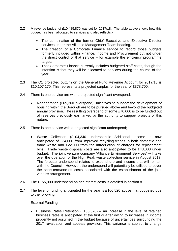- 2.2 A revenue budget of £10,485,870 was set for 2017/18. The table above shows how this budget has been allocated to services and also reflects:-
	- The combination of the former Chief Executive and Executive Director services under the Alliance Management Team heading.
	- The creation of a Corporate Finance service to record those budgets formerly included within Finance, Income and Procurement but not under the direct control of that service – for example the efficiency programme targets.
	- That Corporate Finance currently includes budgeted staff costs, though the intention is that they will be allocated to services during the course of the year.
- 2.3 The Q1 projected outturn on the General Fund Revenue Account for 2017/18 is £10,107,170. This represents a projected surplus for the year of £378,700.
- 2.4 There is one service are with a projected significant overspend;
	- Regeneration (£65,260 overspend); Initiatives to support the development of housing within the Borough are to be pursued above and beyond the budgeted annual provision. The resulting overspend of some £70,000 is to be funded out of reserves previously earmarked by the authority to support projects of this nature.
- 2.5 There is one service with a projected significant underspend;
	- Waste Collection (£104,340 underspend): Additional income is now anticipated of £34,000 from improved recycling trends in both domestic and trade waste and £22,000 from the introduction of charges for replacement bins. Trade waste disposal costs are also anticipated to be £43,000 under budget. The joint venture company 'Alliance Environment Services' will take over the operation of the High Peak waste collection service in August 2017. The forecast underspend relates to expenditure and income that will remain with the Council. However, the underspend will potentially be utilised to cover the short-term/one-off costs associated with the establishment of the joint venture arrangement.
- 2.6 The £155,000 underspend on net interest costs is detailed in section 8.
- 2.7 The level of funding anticipated for the year is £160,520 above that budgeted due to the following:

External Funding:

**Business Rates Retention (£130,520)** – an increase in the level of retained business rates is anticipated at the first quarter owing to increases in income prudently not assumed in the budget because of uncertainties surrounding the 2017 revaluation and appeals provision. This variance is subject to change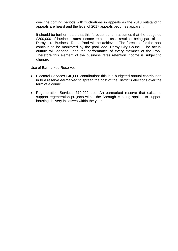over the coming periods with fluctuations in appeals as the 2010 outstanding appeals are heard and the level of 2017 appeals becomes apparent

It should be further noted that this forecast outturn assumes that the budgeted £200,000 of business rates income retained as a result of being part of the Derbyshire Business Rates Pool will be achieved. The forecasts for the pool continue to be monitored by the pool lead; Derby City Council. The actual outturn will depend upon the performance of every member of the Pool. Therefore this element of the business rates retention income is subject to change.

Use of Earmarked Reserves:

- Electoral Services £40,000 contribution: this is a budgeted annual contribution in to a reserve earmarked to spread the cost of the District's elections over the term of a council.
- Regeneration Services £70,000 use: An earmarked reserve that exists to support regeneration projects within the Borough is being applied to support housing delivery initiatives within the year.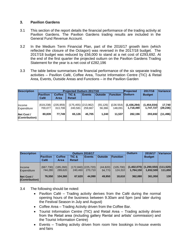# **3. Pavilion Gardens**

- 3.1 This section of the report details the financial performance of the trading activity at Pavilion Gardens. The Pavilion Gardens trading results are included in the General Fund Revenue Account.
- 3.2 In the Medium Term Financial Plan, part of the 2016/17 growth item (which reflected the closure of the Octagon) was reversed in the 2017/18 budget. The 2017/18 budget was reduced by £56,000 to stand at a net cost of £293,692. At the end of the first quarter the projected outturn on the Pavilion Gardens Trading Statement for the year is a net cost of £282,196
- 3.3 The table below summarises the financial performance of the six separate trading activities – Pavilion Café, Coffee Area, Tourist Information Centre (TIC) & Retail Area, Events, Outside Areas and Functions – in the Pavilion Garden

| <b>Description</b>           |                       |                       | <b>Projected Outturn 2017/18</b>  | Projected                       | 2017/18             | Variance             |                          |                          |                    |
|------------------------------|-----------------------|-----------------------|-----------------------------------|---------------------------------|---------------------|----------------------|--------------------------|--------------------------|--------------------|
|                              | Pavilion<br>Café      | <b>Coffee</b><br>Area | <b>TIC &amp;</b><br><b>Retail</b> | <b>Events</b>                   | <b>Outside</b>      | Function             | <b>Outturn</b>           | <b>Budget</b>            |                    |
| <b>Income</b><br>Expenditure | (619, 238)<br>700.077 | (235, 959)<br>313,708 | 240.581                           | (175,455) (213,962) <br>259.667 | (55, 126)<br>56.366 | (136.554)<br>148.091 | (1,436,294)<br>1,718,490 | (1,454,034)<br>1.747.727 | 17,740<br>(29,236) |
| Net Cost /<br>(Contribution) | 80,839                | 77.749                | 65.126                            | 45.705                          | 1.240               | 11.537               | 282.196                  | 293.692                  | (11,496)           |

| <b>Description</b>                  |                         | <b>Outturn 2016/17</b> |                        |                                   |                     |                      |           | 2016/17                                              | Variance |
|-------------------------------------|-------------------------|------------------------|------------------------|-----------------------------------|---------------------|----------------------|-----------|------------------------------------------------------|----------|
|                                     | <b>Pavilion</b><br>Café | <b>Coffee</b><br>Area  | TIC &<br><b>Retail</b> | <b>Events</b>                     | <b>Outside</b>      | Function             |           | <b>Budget</b>                                        |          |
| Income<br>Expenditure               | (667, 730)<br>744.280   | (185,260)<br>289,620   | 240.460                | $(172, 840)$ (225,720)<br>270.710 | (44, 820)<br>94.770 | (105,700)<br>124.310 | 1,764,150 | $(1,402,070)$ $(1,290,550)$ $(111,520)$<br>1,652,500 | 111,650  |
| <b>Net Cost /</b><br>(Contribution) | 76.550                  | 104.360                | 67.620                 | 44.990                            | 49.950              | 18,610               | 362.080   | 361.950                                              | 130      |

- 3.4 The following should be noted:
	- Pavilion Café Trading activity derives from the Café during the normal opening hours of the business between 9.30am and 5pm (and later during the Festival Season in July and August)
	- Coffee Area Trading Activity driven from the Coffee Bar.
	- Tourist Information Centre (TIC) and Retail Area Trading activity driven from the Retail area (including gallery Rental and artists' commission) and the Tourist Information Centre)
	- Events Trading activity driven from room hire bookings in-house events and fairs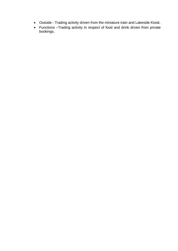- Outside Trading activity driven from the miniature train and Lakeside Kiosk.
- Functions –Trading activity in respect of food and drink driven from private bookings.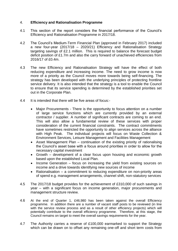# 4. **Efficiency and Rationalisation Programme**

- 4.1 This section of the report considers the financial performance of the Council's Efficiency and Rationalisation Programme in 2017/18.
- 4.2 The Council's Medium-Term Financial Plan (approved in February 2017) included a new four-year (2017/18 – 2020/21) Efficiency and Rationalisation Strategy targeting savings of £2.1 million. This is required to balance the forecast budget deficit position of £1.7m and also the carry forward of unachieved efficiencies from 2016/17 of £0.4m.
- 4.3 The new Efficiency and Rationalisation Strategy will have the effect of both reducing expenditure and increasing income. The need to grow income is now more of a priority as the Council moves more towards being self-financing. The strategy has been developed with the underlying principles of protecting frontline service delivery. It is also intended that the strategy is a tool to enable the Council to ensure that its service spending is determined by the established priorities set out in the Corporate Plan.
- 4.4 It is intended that there will be five areas of focus:-
	- Major Procurements There is the opportunity to focus attention on a number of large service functions which are currently provided by an external contractor / supplier. A number of significant contracts are coming to an end. This will also allow a fundamental review of these services with proper consideration of the current financial constraints. The contract commitments have sometimes restricted the opportunity to align services across the alliance with High Peak. The individual projects will focus on Waste Collection & Environment Services, Leisure Management and Facilities Management
	- Asset Management Plan continuation of the existing priority of rationalising the Council's asset base with a focus around priorities in order to allow for the necessary capital investment
	- Growth development of a clear focus upon housing and economic growth based upon the established Local Plan.
	- Income Generation focus on increasing the yield from existing sources on income and a drive towards identifying new sources of income
	- Rationalisation a commitment to reducing expenditure on non-priority areas of spend e.g. management arrangements, channel shift, non-statutory services
- 4.5 The 2017/18 budget provides for the achievement of £310,000 of such savings in year – with a significant focus on income generation, major procurements and management structure review.
- 4.6 At the end of Quarter 1, £46,980 has been taken against the overall Efficiency programme. In addition there are a number of vacant staff posts to be reviewed (in line with the service review process and as a result of other efficiency projects) which will potentially contribute to the overall efficiency programme. Therefore, at this stage, the Council remains on target to meet the overall savings requirements for the year.
- 4.7 The Authority carries a reserve of £100,000 earmarked to support the Strategy which can be drawn on to offset any remaining one-off and short term costs from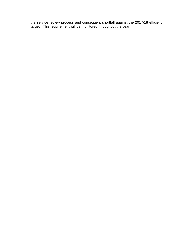the service review process and consequent shortfall against the 2017/18 efficient target. This requirement will be monitored throughout the year.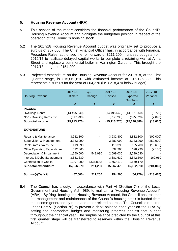# **5. Housing Revenue Account (HRA)**

- 5.1 This section of the report considers the financial performance of the Council's Housing Revenue Account and highlights the budgetary position in respect of the operation of the Council's housing stock.
- 5.2 The 2017/18 Housing Revenue Account budget was originally set to produce a surplus of £57,000. The Chief Financial Officer has, in accordance with Financial Procedure Rules, authorised the roll forward of £211,200 in unused budgets from 2016/17 to facilitate delayed capital works to complete a retaining wall at Alma Street and replace a commercial boiler in Hartington Gardens. This brought the 2017/18 budget to £154,200.
- 5.3 Projected expenditure on the Housing Revenue Account for 2017/18, at the First Quarter stage, is £15,062,610 with estimated income at £15,126,880. This represents a surplus for the year of £64,270 (i.e. £218,470 below budget).

|                                    | 2017-18        | Q <sub>1</sub> | 2017-18        | 2017-18              | 2017-18    |
|------------------------------------|----------------|----------------|----------------|----------------------|------------|
| <b>Housing Revenue</b>             | Estimate       | Change         | <b>Revised</b> | Expected<br>Out-Turn | Variance   |
|                                    | £              | £              | £              | £                    | £          |
|                                    |                |                |                |                      |            |
| <b>INCOME</b>                      |                |                |                |                      |            |
| <b>Dwellings Rents</b>             | (14, 495, 540) |                | (14, 495, 540) | (14,501,260)         | (5,720)    |
| Non - Dwelling Rents Etc           | (617, 730)     |                | (617, 730)     | (625, 620)           | (7,890)    |
| <b>Sub-total income</b>            | (15, 113, 270) |                | (15, 113, 270) | (15, 126, 880)       | (13, 610)  |
|                                    |                |                |                |                      |            |
| <b>EXPENDITURE</b>                 |                |                |                |                      |            |
| Repairs & Maintenance              | 3,932,800      |                | 3,932,800      | 3,832,800            | (100,000)  |
| Supervision & Management           | 3,383,090      |                | 3,383,090      | 3,133,090            | (250,000)  |
| Rents, rates, taxes Etc            | 119,390        |                | 119,390        | 105,700              | (13,690)   |
| <b>Other Operating Expenditure</b> | 692,360        |                | 692,360        | 690,230              | (2, 130)   |
| Depreciation & Impairment          | 1,550,000      | 549,030        | 2,099,030      | 2,099,030            |            |
| Interest & Debt Management         | 3,381,630      |                | 3,381,630      | 3,542,590            | 160,960    |
| <b>Contribution to Capital</b>     | 1,997,000      | (337, 830)     | 1,659,170      | 1,659,170            |            |
| Sub-total expenditure              | 15,056,270     | 211,200        | 15,267,470     | 15,062,610           | (204, 860) |
|                                    |                |                |                |                      |            |
| <b>Surplus(-)/Deficit</b>          | (57,000)       | 211,200        | 154,200        | (64,270)             | (218, 470) |

5.4 The Council has a duty, in accordance with Part VI (Section 74) of the Local Government and Housing Act 1989, to maintain a "Housing Revenue Account" (HRA). By "ring -fencing' the Housing Revenue Account, the Council ensures that the management and maintenance of the Council's housing stock is funded from the income generated by rents and other related sources. The Council is required under Part VI (Section 76) to prevent a debit balance each year on the HRA by setting the appropriate budget and monitoring progress against that budget throughout the financial year. The surplus balance predicted by the Council at this first quarter stage will be transferred to reserves within the Housing Revenue Account.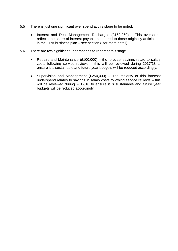- 5.5 There is just one significant over spend at this stage to be noted:
	- Interest and Debt Management Recharges (£160,960) This overspend reflects the share of interest payable compared to those originally anticipated in the HRA business plan – see section 8 for more detail)
- 5.6 There are two significant underspends to report at this stage.
	- Repairs and Maintenance  $(E100,000)$  the forecast savings relate to salary costs following service reviews – this will be reviewed during 2017/18 to ensure it is sustainable and future year budgets will be reduced accordingly.
	- Supervision and Management (£250,000) The majority of this forecast underspend relates to savings in salary costs following service reviews – this will be reviewed during 2017/18 to ensure it is sustainable and future year budgets will be reduced accordingly.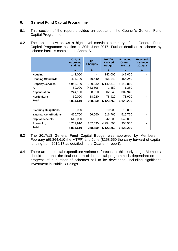# **6. General Fund Capital Programme**

- 6.1 This section of the report provides an update on the Council's General Fund Capital Programme.
- 6.2 The table below shows a high level (service) summary of the General Fund Capital Programme position at 30th June 2017. Further detail on a scheme by scheme basis is contained in Annex A.

|                               | 2017/18<br><b>Approved</b><br><b>Budget</b><br>£ | Q <sub>1</sub><br><b>Changes</b><br>£ | 2017/18<br><b>Revised</b><br><b>Budget</b><br>£ | <b>Expected</b><br><b>Outturn</b><br>2017/18<br>£ | <b>Expected</b><br><b>Variance</b><br>2017/18<br>£ |
|-------------------------------|--------------------------------------------------|---------------------------------------|-------------------------------------------------|---------------------------------------------------|----------------------------------------------------|
|                               |                                                  |                                       |                                                 |                                                   |                                                    |
| <b>Housing</b>                | 142,000                                          |                                       | 142,000                                         | 142,000                                           |                                                    |
| <b>Housing Standards</b>      | 414,700                                          | 40,540                                | 455,240                                         | 455,240                                           |                                                    |
| <b>Property Services</b>      | 4,953,780                                        | 189,030                               | 5,142,810                                       | 5,142,810                                         |                                                    |
| <b>ICT</b>                    | 50,000                                           | (48, 650)                             | 1,350                                           | 1,350                                             |                                                    |
| <b>Regeneration</b>           | 244,130                                          | 58,810                                | 302,940                                         | 302,940                                           |                                                    |
| <b>Horticulture</b>           | 60,000                                           | 18,920                                | 78,920                                          | 78,920                                            |                                                    |
| Total                         | 5,864,610                                        | 258,650                               | 6,123,260                                       | 6,123,260                                         |                                                    |
|                               |                                                  |                                       |                                                 |                                                   |                                                    |
| <b>Planning Obligations</b>   | 10,000                                           |                                       | 10,000                                          | 10,000                                            |                                                    |
| <b>External Contributions</b> | 460,700                                          | 56,060                                | 516,760                                         | 516,760                                           |                                                    |
| <b>Capital Receipts</b>       | 642,000                                          |                                       | 642,000                                         | 642,000                                           |                                                    |
| <b>Borrowing</b>              | 4,751,910                                        | 202,590                               | 4,954,500                                       | 4,954,500                                         |                                                    |
| Total                         | 5,864,610                                        | 258,650                               | 6,123,260                                       | 6,123,260                                         |                                                    |

- 6.3 The 2017/18 General Fund Capital Budget was approved by Members in February (£5,864,610 the MTFP) and June (£258,650 the carry forward of capital funding from 2016/17 as detailed in the Quarter 4 report).
- 6.4 There are no capital expenditure variances forecast at this early stage. Members should note that the final out turn of the capital programme is dependant on the progress of a number of schemes still to be developed; including significant investment in Public Buildings.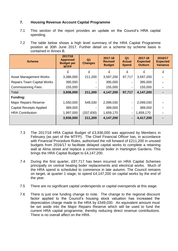# **7. Housing Revenue Account Capital Programme**

- 7.1 This section of the report provides an update on the Council's HRA capital spending.
- 7.2 The table below shows a high level summary of the HRA Capital Programme position at 30th June 2017. Further detail on a scheme by scheme basis is contained in Annex B.

| <b>Scheme</b>                     | 2017/18<br><b>Approved</b><br><b>Budget per</b><br><b>MTFP</b> | Q <sub>1</sub><br><b>Changes</b> | 2017-18<br><b>Revised</b><br><b>Budget</b> | Q <sub>1</sub><br><b>Actual</b><br><b>Spend</b> | 2017-18<br><b>Expected</b><br><b>Outturn</b> | 2016/17<br><b>Expected</b><br><b>Variance</b> |
|-----------------------------------|----------------------------------------------------------------|----------------------------------|--------------------------------------------|-------------------------------------------------|----------------------------------------------|-----------------------------------------------|
|                                   | £                                                              | £                                | £                                          | £                                               | £                                            | £                                             |
| <b>Asset Management Works</b>     | 3,386,000                                                      | 211,200                          | 3,597,200                                  | 97,717                                          | 3,597,200                                    |                                               |
| <b>Repairs Team Capital Works</b> | 395,000                                                        |                                  | 395,000                                    | ۰.                                              | 395,000                                      |                                               |
| <b>Commissioning Fees</b>         | 155,000                                                        |                                  | 155,000                                    |                                                 | 155,000                                      |                                               |
| Total                             | 3,936,000                                                      | 211,200                          | 4,147,200                                  | 97,717                                          | 4,147,200                                    |                                               |
| <b>Funding:</b>                   |                                                                |                                  |                                            |                                                 |                                              |                                               |
| <b>Major Repairs Reserve</b>      | 1,550,000                                                      | 549,030                          | 2,099,030                                  | -                                               | 2,099,030                                    |                                               |
| <b>Capital Receipts Applied</b>   | 389,000                                                        |                                  | 389,000                                    | Ξ.                                              | 389,000                                      |                                               |
| <b>HRA Contribution</b>           | 1,997,000                                                      | (337, 830)                       | 1,659,170                                  |                                                 | 1,659,170                                    |                                               |
|                                   | 3,936,000                                                      | 211,200                          | 4,147,200                                  | ٠                                               | 4,417,200                                    |                                               |

- 7.3 The 2017/18 HRA Capital Budget of £3,936,000 was approved by Members in February (as part of the MTFP). The Chief Financial Officer has, in accordance with Financial Procedure Rules, authorised the roll forward of £211,200 in unused budgets from 2016/17 to facilitate delayed capital works to complete a retaining wall at Alma street and replace a commercial boiler in Hartington Gardens. This brings the HRA Capital Budget to £4,147,200.
- 7.4 During the first quarter, £97,717 has been incurred on HRA Capital Schemes principally on central heating boiler replacements and electrical works. Much of the HRA spend is scheduled to commence in late autumn. The Council remains on target, at quarter 1 stage, to spend £4,147,200 on capital works by the end of the year.
- 7.5 There are no significant capital underspends or capital overspends at this stage.
- 7.6 There is just one funding change to note. The change to the regional discount factor applied to the Council's housing stock valuation has increased the depreciation charge made to the HRA by £549,030. An equivalent amount must be set aside into the Major Repairs Reserve which will be used to fund the current HRA capital programme; thereby reducing direct revenue contributions. There is no overall affect on the HRA.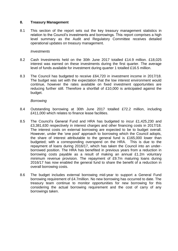# **8. Treasury Management**

8.1 This section of the report sets out the key treasury management statistics in relation to the Council's investments and borrowings. This report comprises a high level summary as the Audit and Regulatory Committee receives detailed operational updates on treasury management.

#### *Investments*

- 8.2 Cash Investments held on the 30th June 2017 totalled £14.9 million. £18,025 interest was earned on these investments during the first quarter. The average level of funds available for investment during quarter 1 totalled £16.5 million.
- 8.3 The Council has budgeted to receive £64,720 in investment income in 2017/18. The budget was set with the expectation that the low interest environment would continue, however the rates available on fixed investment opportunities are reducing further still. Therefore a shortfall of £10,000 is anticipated against the budget.

#### *Borrowing*

- 8.4 Outstanding borrowing at 30th June 2017 totalled £72.2 million, including £411,000 which relates to finance lease facilities.
- 8.5 The Council's General Fund and HRA has budgeted to incur £1,425,230 and £3,381,630 respectively in interest charges and other financing costs in 2017/18. The interest costs on external borrowing are expected to be to budget overall. However, under the 'one pool' approach to borrowing which the Council adopts, the share of interest attributable to the general fund is £165,000 lower than budgeted; with a corresponding overspend on the HRA. This is due to the repayment of loans during 2016/17, which has taken the Council into an underborrowed position. The HRA has benefited in previous years from a reduction in borrowing costs payable as a result of making an annual £1.2m voluntary minimum revenue provision. The repayment of £9.7m maturing loans during 2016/17 has now enabled the general fund to share the benefit of a reduction in overall borrowing costs.
- 8.6 The budget includes external borrowing mid-year to support a General Fund borrowing requirement of £4.7million. No new borrowing has occurred to date. The treasury team continue to monitor opportunities for new borrowing for this considering the actual borrowing requirement and the cost of carry of any borrowings taken.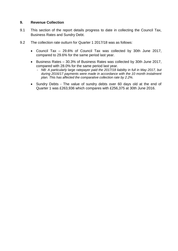# **9. Revenue Collection**

- 9.1 This section of the report details progress to date in collecting the Council Tax, Business Rates and Sundry Debt.
- 9.2 The collection rate outturn for Quarter 1 2017/18 was as follows:
	- Council Tax 29.6% of Council Tax was collected by 30th June 2017, compared to 29.6% for the same period last year.
	- Business Rates 30.3% of Business Rates was collected by 30th June 2017, compared with 28.0% for the same period last year.
		- *NB: A particularly large ratepayer paid the 2017/18 liability in full in May 2017, but during 2016/17 payments were made in accordance with the 10 month instalment plan. This has affected the comparative collection rate by 2.2%.*
	- Sundry Debts The value of sundry debts over 60 days old at the end of Quarter 1 was £263,936 which compares with £256,375 at 30th June 2016.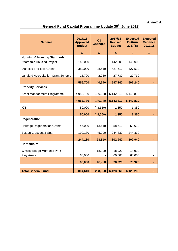**Annex A** 

# **General Fund Capital Programme Update 30 th June 2017**

| <b>Scheme</b>                                                               | 2017/18<br><b>Approved</b><br><b>Budget</b> | Q1<br><b>Changes</b> | 2017/18<br><b>Revised</b><br><b>Budget</b> | <b>Expected</b><br><b>Outturn</b><br>2017/18 | <b>Expected</b><br><b>Variance</b><br>2017/18 |
|-----------------------------------------------------------------------------|---------------------------------------------|----------------------|--------------------------------------------|----------------------------------------------|-----------------------------------------------|
|                                                                             | £                                           | £                    | £                                          | £                                            | £                                             |
| <b>Housing &amp; Housing Standards</b><br><b>Affordable Housing Project</b> | 142,000                                     |                      | 142,000                                    | 142,000                                      |                                               |
| <b>Disabled Facilities Grants</b>                                           | 389,000                                     | 38,510               | 427,510                                    | 427,510                                      |                                               |
| <b>Landlord Accreditation Grant Scheme</b>                                  | 25,700                                      | 2,030                | 27,730                                     | 27,730                                       |                                               |
|                                                                             | 556,700                                     | 40,540               | 597,240                                    | 597,240                                      |                                               |
| <b>Property Services</b>                                                    |                                             |                      |                                            |                                              |                                               |
| Asset Management Programme                                                  | 4,953,780                                   | 189,030              | 5,142,810                                  | 5,142,810                                    |                                               |
|                                                                             | 4,953,780                                   | 189,030              | 5,142,810                                  | 5,142,810                                    |                                               |
| <b>ICT</b>                                                                  | 50,000                                      | (48, 650)            | 1,350                                      | 1,350                                        |                                               |
|                                                                             | 50,000                                      | (48, 650)            | 1,350                                      | 1,350                                        |                                               |
| Regeneration                                                                |                                             |                      |                                            |                                              |                                               |
| <b>Heritage Regeneration Grants</b>                                         | 45,000                                      | 13,610               | 58,610                                     | 58,610                                       |                                               |
| <b>Buxton Crescent &amp; Spa</b>                                            | 199,130                                     | 45,200               | 244,330                                    | 244,330                                      |                                               |
|                                                                             | 244,130                                     | 58,810               | 302,940                                    | 302,940                                      |                                               |
| <b>Horticulture</b>                                                         |                                             |                      |                                            |                                              |                                               |
| <b>Whaley Bridge Memorial Park</b><br>Play Areas                            | 60,000                                      | 18,920               | 18,920<br>60,000                           | 18,920<br>60,000                             |                                               |
|                                                                             | 60,000                                      | 18,920               | 78,920                                     | 78,920                                       |                                               |
|                                                                             |                                             |                      |                                            |                                              |                                               |
| <b>Total General Fund</b>                                                   | 5,864,610                                   | 258,650              | 6,123,260                                  | 6,123,260                                    |                                               |